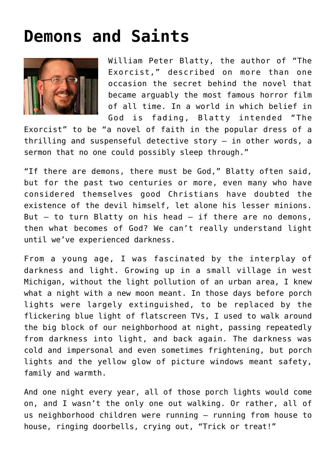## **[Demons and Saints](https://www.osvnews.com/2019/10/15/demons-and-saints/)**



William Peter Blatty, the author of "The Exorcist," described on more than one occasion the secret behind the novel that became arguably the most famous horror film of all time. In a world in which belief in God is fading, Blatty intended "The

Exorcist" to be "a novel of faith in the popular dress of a thrilling and suspenseful detective story — in other words, a sermon that no one could possibly sleep through."

"If there are demons, there must be God," Blatty often said, but for the past two centuries or more, even many who have considered themselves good Christians have doubted the existence of the devil himself, let alone his lesser minions. But  $-$  to turn Blatty on his head  $-$  if there are no demons, then what becomes of God? We can't really understand light until we've experienced darkness.

From a young age, I was fascinated by the interplay of darkness and light. Growing up in a small village in west Michigan, without the light pollution of an urban area, I knew what a night with a new moon meant. In those days before porch lights were largely extinguished, to be replaced by the flickering blue light of flatscreen TVs, I used to walk around the big block of our neighborhood at night, passing repeatedly from darkness into light, and back again. The darkness was cold and impersonal and even sometimes frightening, but porch lights and the yellow glow of picture windows meant safety, family and warmth.

And one night every year, all of those porch lights would come on, and I wasn't the only one out walking. Or rather, all of us neighborhood children were running — running from house to house, ringing doorbells, crying out, "Trick or treat!"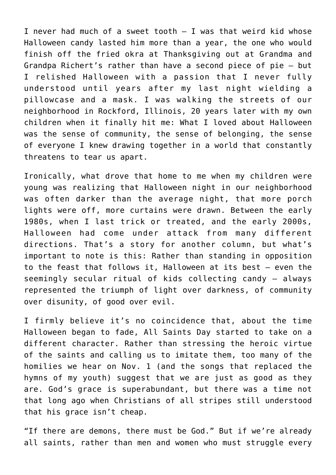I never had much of a sweet tooth  $-$  I was that weird kid whose Halloween candy lasted him more than a year, the one who would finish off the fried okra at Thanksgiving out at Grandma and Grandpa Richert's rather than have a second piece of pie — but I relished Halloween with a passion that I never fully understood until years after my last night wielding a pillowcase and a mask. I was walking the streets of our neighborhood in Rockford, Illinois, 20 years later with my own children when it finally hit me: What I loved about Halloween was the sense of community, the sense of belonging, the sense of everyone I knew drawing together in a world that constantly threatens to tear us apart.

Ironically, what drove that home to me when my children were young was realizing that Halloween night in our neighborhood was often darker than the average night, that more porch lights were off, more curtains were drawn. Between the early 1980s, when I last trick or treated, and the early 2000s, Halloween had come under attack from many different directions. That's a story for another column, but what's important to note is this: Rather than standing in opposition to the feast that follows it, Halloween at its best — even the seemingly secular ritual of kids collecting candy — always represented the triumph of light over darkness, of community over disunity, of good over evil.

I firmly believe it's no coincidence that, about the time Halloween began to fade, All Saints Day started to take on a different character. Rather than stressing the heroic virtue of the saints and calling us to imitate them, too many of the homilies we hear on Nov. 1 (and the songs that replaced the hymns of my youth) suggest that we are just as good as they are. God's grace is superabundant, but there was a time not that long ago when Christians of all stripes still understood that his grace isn't cheap.

"If there are demons, there must be God." But if we're already all saints, rather than men and women who must struggle every